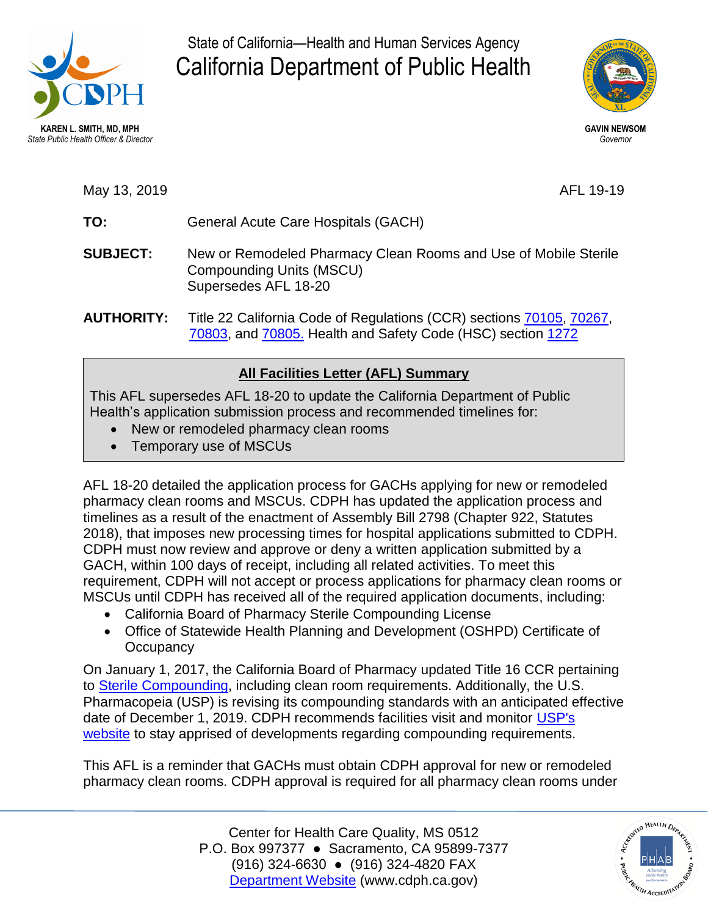

State of California—Health and Human Services Agency California Department of Public Health



May 13, 2019 **AFL 19-19** 

- **TO:** General Acute Care Hospitals (GACH)
- **SUBJECT:** New or Remodeled Pharmacy Clean Rooms and Use of Mobile Sterile Compounding Units (MSCU) Supersedes AFL 18-20
- **AUTHORITY:** Title 22 California Code of Regulations (CCR) sections [70105,](https://govt.westlaw.com/calregs/Document/IE3682640D4BB11DE8879F88E8B0DAAAE?viewType=FullText&originationContext=documenttoc&transitionType=CategoryPageItem&contextData=(sc.Default)) [70267,](https://govt.westlaw.com/calregs/Document/IF1F151B0FB1611DEACA9F33E9EE53480?viewType=FullText&originationContext=documenttoc&transitionType=CategoryPageItem&contextData=(sc.Default)) [70803,](https://govt.westlaw.com/calregs/Document/I21F53070FB1711DEACA9F33E9EE53480?viewType=FullText&originationContext=documenttoc&transitionType=CategoryPageItem&contextData=(sc.Default)) and [70805.](https://govt.westlaw.com/calregs/Document/I22499200FB1711DEACA9F33E9EE53480?viewType=FullText&originationContext=documenttoc&transitionType=CategoryPageItem&contextData=(sc.Default)) Health and Safety Code (HSC) section [1272](https://leginfo.legislature.ca.gov/faces/codes_displaySection.xhtml?sectionNum=1272.&lawCode=HSC)

## **All Facilities Letter (AFL) Summary**

This AFL supersedes AFL 18-20 to update the California Department of Public Health's application submission process and recommended timelines for:

- New or remodeled pharmacy clean rooms
- Temporary use of MSCUs

AFL 18-20 detailed the application process for GACHs applying for new or remodeled pharmacy clean rooms and MSCUs. CDPH has updated the application process and timelines as a result of the enactment of Assembly Bill 2798 (Chapter 922, Statutes 2018), that imposes new processing times for hospital applications submitted to CDPH. CDPH must now review and approve or deny a written application submitted by a GACH, within 100 days of receipt, including all related activities. To meet this requirement, CDPH will not accept or process applications for pharmacy clean rooms or MSCUs until CDPH has received all of the required application documents, including:

- California Board of Pharmacy Sterile Compounding License
- Office of Statewide Health Planning and Development (OSHPD) Certificate of **Occupancy**

 On January 1, 2017, the California Board of Pharmacy updated Title 16 CCR pertaining to [Sterile Compounding,](https://govt.westlaw.com/calregs/Browse/Home/California/CaliforniaCodeofRegulations?guid=I02473087AB9045D3B46AAD2999BF7232&originationContext=documenttoc&transitionType=Default&contextData=(sc.Default)) including clean room requirements. Additionally, the U.S. Pharmacopeia (USP) is revising its compounding standards with an anticipated effective date of December 1, 2019. CDPH recommends facilities visit and monitor USP's [website](http://www.usp.org/) to stay apprised of developments regarding compounding requirements.

This AFL is a reminder that GACHs must obtain CDPH approval for new or remodeled pharmacy clean rooms. CDPH approval is required for all pharmacy clean rooms under

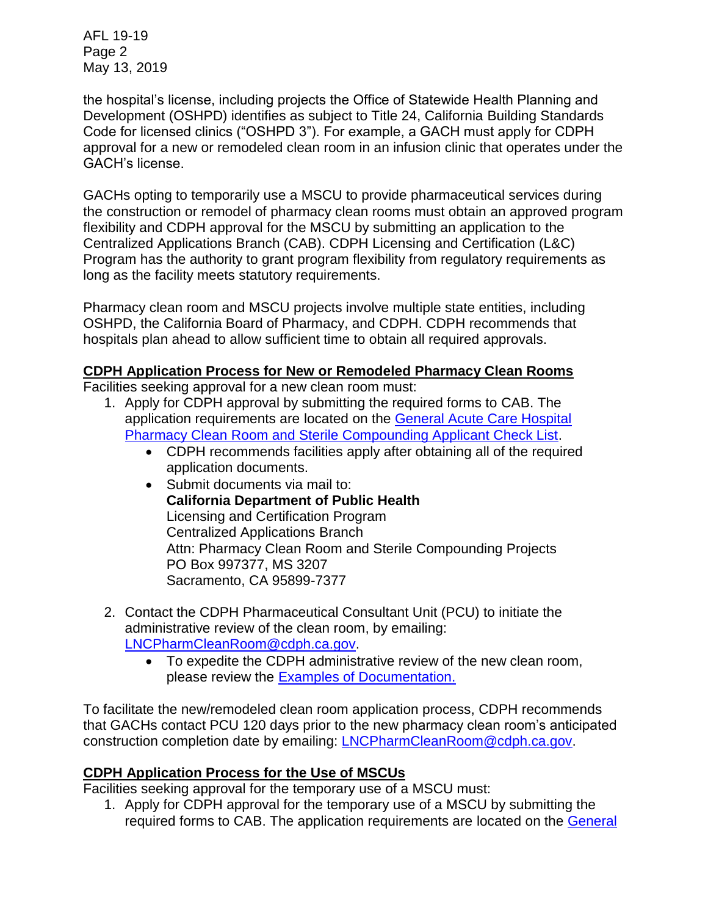AFL 19-19 Page 2 May 13, 2019

 Development (OSHPD) identifies as subject to Title 24, California Building Standards the hospital's license, including projects the Office of Statewide Health Planning and Code for licensed clinics ("OSHPD 3"). For example, a GACH must apply for CDPH approval for a new or remodeled clean room in an infusion clinic that operates under the GACH's license.

GACHs opting to temporarily use a MSCU to provide pharmaceutical services during the construction or remodel of pharmacy clean rooms must obtain an approved program flexibility and CDPH approval for the MSCU by submitting an application to the Centralized Applications Branch (CAB). CDPH Licensing and Certification (L&C) Program has the authority to grant program flexibility from regulatory requirements as long as the facility meets statutory requirements.

Pharmacy clean room and MSCU projects involve multiple state entities, including OSHPD, the California Board of Pharmacy, and CDPH. CDPH recommends that hospitals plan ahead to allow sufficient time to obtain all required approvals.

## **CDPH Application Process for New or Remodeled Pharmacy Clean Rooms**

Facilities seeking approval for a new clean room must:

- 1. Apply for CDPH approval by submitting the required forms to CAB. The application requirements are located on the [General Acute Care Hospital](https://www.cdph.ca.gov/Programs/CHCQ/LCP/CDPH%20Document%20Library/GACH-PharmacyCleanRoomSterileCompounding.pdf)  [Pharmacy Clean Room and Sterile Compounding Applicant Check List.](https://www.cdph.ca.gov/Programs/CHCQ/LCP/CDPH%20Document%20Library/GACH-PharmacyCleanRoomSterileCompounding.pdf)
	- CDPH recommends facilities apply after obtaining all of the required application documents.
	- Attn: Pharmacy Clean Room and Sterile Compounding Projects • Submit documents via mail to: **California Department of Public Health**  Licensing and Certification Program Centralized Applications Branch PO Box 997377, MS 3207 Sacramento, CA 95899-7377
- 2. Contact the CDPH Pharmaceutical Consultant Unit (PCU) to initiate the administrative review of the clean room, by emailing: [LNCPharmCleanRoom@cdph.ca.gov.](mailto:LNCPharmCleanRoom@cdph.ca.gov)
	- To expedite the CDPH administrative review of the new clean room, please review the [Examples of Documentation.](https://www.cdph.ca.gov/Programs/CHCQ/LCP/Pages/Examples-of-Documentation-PCU.aspx)

To facilitate the new/remodeled clean room application process, CDPH recommends that GACHs contact PCU 120 days prior to the new pharmacy clean room's anticipated construction completion date by emailing: [LNCPharmCleanRoom@cdph.ca.gov.](mailto:LNCPharmCleanRoom@cdph.ca.gov)

## **CDPH Application Process for the Use of MSCUs**

Facilities seeking approval for the temporary use of a MSCU must:

required forms to CAB. The application requirements are located on the General 1. Apply for CDPH approval for the temporary use of a MSCU by submitting the